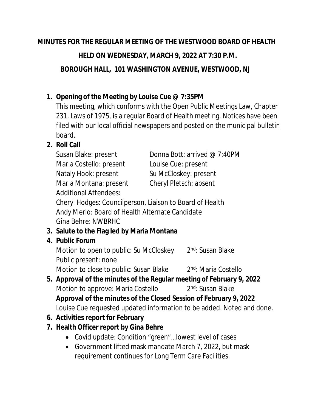#### **MINUTES FOR THE REGULAR MEETING OF THE WESTWOOD BOARD OF HEALTH**

 **HELD ON WEDNESDAY, MARCH 9, 2022 AT 7:30 P.M.**

 **BOROUGH HALL, 101 WASHINGTON AVENUE, WESTWOOD, NJ**

### **1. Opening of the Meeting by Louise Cue @ 7:35PM**

This meeting, which conforms with the Open Public Meetings Law, Chapter 231, Laws of 1975, is a regular Board of Health meeting. Notices have been filed with our local official newspapers and posted on the municipal bulletin board.

#### **2. Roll Call**

Susan Blake: present Donna Bott: arrived @ 7:40PM Maria Costello: present Louise Cue: present Nataly Hook: present Su McCloskey: present Maria Montana: present Cheryl Pletsch: absent Additional Attendees:

Cheryl Hodges: Councilperson, Liaison to Board of Health Andy Merlo: Board of Health Alternate Candidate Gina Behre: NWBRHC

### **3. Salute to the Flag led by Maria Montana**

#### **4. Public Forum**

Motion to open to public: Su McCloskey 2<sup>nd</sup>: Susan Blake Public present: none

Motion to close to public: Susan Blake 2<sup>nd</sup>: Maria Costello

- **5. Approval of the minutes of the Regular meeting of February 9, 2022** Motion to approve: Maria Costello 2 2<sup>nd</sup>: Susan Blake **Approval of the minutes of the Closed Session of February 9, 2022** Louise Cue requested updated information to be added. Noted and done.
- **6. Activities report for February**
- **7. Health Officer report by Gina Behre**
	- Covid update: Condition "green"…lowest level of cases
	- Government lifted mask mandate March 7, 2022, but mask requirement continues for Long Term Care Facilities.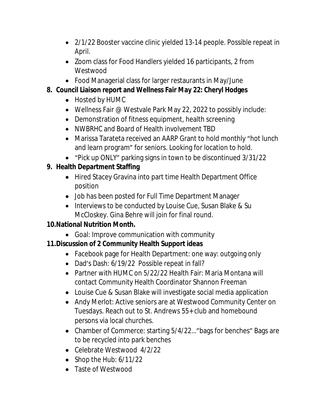- 2/1/22 Booster vaccine clinic yielded 13-14 people. Possible repeat in April.
- Zoom class for Food Handlers yielded 16 participants, 2 from Westwood
- Food Managerial class for larger restaurants in May/June

# **8. Council Liaison report and Wellness Fair May 22: Cheryl Hodges**

- Hosted by HUMC
- Wellness Fair @ Westvale Park May 22, 2022 to possibly include:
- Demonstration of fitness equipment, health screening
- NWBRHC and Board of Health involvement TBD
- Marissa Tarateta received an AARP Grant to hold monthly "hot lunch and learn program" for seniors. Looking for location to hold.
- "Pick up ONLY" parking signs in town to be discontinued 3/31/22

# **9. Health Department Staffing**

- Hired Stacey Gravina into part time Health Department Office position
- Job has been posted for Full Time Department Manager
- Interviews to be conducted by Louise Cue, Susan Blake & Su McCloskey. Gina Behre will join for final round.

### **10.National Nutrition Month.**

Goal: Improve communication with community

# **11.Discussion of 2 Community Health Support ideas**

- Facebook page for Health Department: one way: outgoing only
- Dad's Dash: 6/19/22 Possible repeat in fall?
- Partner with HUMC on 5/22/22 Health Fair: Maria Montana will contact Community Health Coordinator Shannon Freeman
- Louise Cue & Susan Blake will investigate social media application
- Andy Merlot: Active seniors are at Westwood Community Center on Tuesdays. Reach out to St. Andrews 55+ club and homebound persons via local churches.
- Chamber of Commerce: starting 5/4/22…"bags for benches" Bags are to be recycled into park benches
- Celebrate Westwood 4/2/22
- $\bullet$  Shop the Hub: 6/11/22
- Taste of Westwood